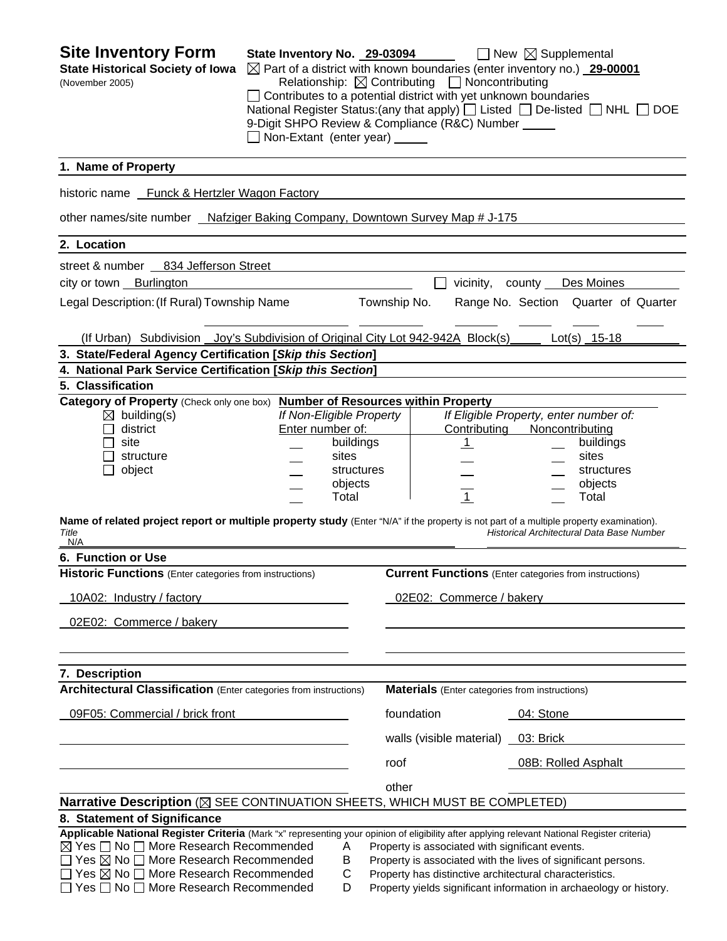| <b>Site Inventory Form</b><br><b>State Historical Society of Iowa</b><br>(November 2005)                                                                                                                                                                                                                                                                                                        | State Inventory No. 29-03094<br>$\Box$ Non-Extant (enter year) |                                                                                  |              | Relationship: $\boxtimes$ Contributing $\Box$ Noncontributing<br>$\Box$ Contributes to a potential district with yet unknown boundaries<br>9-Digit SHPO Review & Compliance (R&C) Number | $\Box$ New $\boxtimes$ Supplemental<br>$\boxtimes$ Part of a district with known boundaries (enter inventory no.) 29-00001<br>National Register Status: (any that apply) $\Box$ Listed $\Box$ De-listed $\Box$ NHL $\Box$ DOE |  |
|-------------------------------------------------------------------------------------------------------------------------------------------------------------------------------------------------------------------------------------------------------------------------------------------------------------------------------------------------------------------------------------------------|----------------------------------------------------------------|----------------------------------------------------------------------------------|--------------|------------------------------------------------------------------------------------------------------------------------------------------------------------------------------------------|-------------------------------------------------------------------------------------------------------------------------------------------------------------------------------------------------------------------------------|--|
| 1. Name of Property                                                                                                                                                                                                                                                                                                                                                                             |                                                                |                                                                                  |              |                                                                                                                                                                                          |                                                                                                                                                                                                                               |  |
| historic name Funck & Hertzler Wagon Factory                                                                                                                                                                                                                                                                                                                                                    |                                                                |                                                                                  |              |                                                                                                                                                                                          |                                                                                                                                                                                                                               |  |
| other names/site number _ Nafziger Baking Company, Downtown Survey Map # J-175                                                                                                                                                                                                                                                                                                                  |                                                                |                                                                                  |              |                                                                                                                                                                                          |                                                                                                                                                                                                                               |  |
| 2. Location                                                                                                                                                                                                                                                                                                                                                                                     |                                                                |                                                                                  |              |                                                                                                                                                                                          |                                                                                                                                                                                                                               |  |
| street & number 834 Jefferson Street                                                                                                                                                                                                                                                                                                                                                            |                                                                |                                                                                  |              |                                                                                                                                                                                          |                                                                                                                                                                                                                               |  |
| city or town <b>Burlington</b>                                                                                                                                                                                                                                                                                                                                                                  |                                                                |                                                                                  |              | vicinity,                                                                                                                                                                                | county<br>Des Moines                                                                                                                                                                                                          |  |
| Legal Description: (If Rural) Township Name                                                                                                                                                                                                                                                                                                                                                     |                                                                |                                                                                  | Township No. |                                                                                                                                                                                          | Range No. Section Quarter of Quarter                                                                                                                                                                                          |  |
| (If Urban) Subdivision Joy's Subdivision of Original City Lot 942-942A Block(s)                                                                                                                                                                                                                                                                                                                 |                                                                |                                                                                  |              |                                                                                                                                                                                          | Lot(s) 15-18                                                                                                                                                                                                                  |  |
| 3. State/Federal Agency Certification [Skip this Section]                                                                                                                                                                                                                                                                                                                                       |                                                                |                                                                                  |              |                                                                                                                                                                                          |                                                                                                                                                                                                                               |  |
| 4. National Park Service Certification [Skip this Section]                                                                                                                                                                                                                                                                                                                                      |                                                                |                                                                                  |              |                                                                                                                                                                                          |                                                                                                                                                                                                                               |  |
| 5. Classification<br>Category of Property (Check only one box) Number of Resources within Property                                                                                                                                                                                                                                                                                              |                                                                |                                                                                  |              |                                                                                                                                                                                          |                                                                                                                                                                                                                               |  |
| $\boxtimes$ building(s)<br>district<br>$\mathsf{L}$<br>site<br>structure<br>object<br>Name of related project report or multiple property study (Enter "N/A" if the property is not part of a multiple property examination).<br>Title                                                                                                                                                          | Enter number of:                                               | If Non-Eligible Property<br>buildings<br>sites<br>structures<br>objects<br>Total |              | Contributing<br>$\perp$<br>$\overline{1}$                                                                                                                                                | If Eligible Property, enter number of:<br>Noncontributing<br>buildings<br>sites<br>structures<br>objects<br>Total<br>Historical Architectural Data Base Number                                                                |  |
| N/A<br>6. Function or Use                                                                                                                                                                                                                                                                                                                                                                       |                                                                |                                                                                  |              |                                                                                                                                                                                          |                                                                                                                                                                                                                               |  |
| <b>Historic Functions</b> (Enter categories from instructions)                                                                                                                                                                                                                                                                                                                                  |                                                                |                                                                                  |              |                                                                                                                                                                                          | <b>Current Functions</b> (Enter categories from instructions)                                                                                                                                                                 |  |
| 10A02: Industry / factory                                                                                                                                                                                                                                                                                                                                                                       |                                                                |                                                                                  |              | 02E02: Commerce / bakery                                                                                                                                                                 |                                                                                                                                                                                                                               |  |
| 02E02: Commerce / bakery                                                                                                                                                                                                                                                                                                                                                                        |                                                                |                                                                                  |              |                                                                                                                                                                                          |                                                                                                                                                                                                                               |  |
| 7. Description                                                                                                                                                                                                                                                                                                                                                                                  |                                                                |                                                                                  |              |                                                                                                                                                                                          |                                                                                                                                                                                                                               |  |
| <b>Architectural Classification</b> (Enter categories from instructions)                                                                                                                                                                                                                                                                                                                        |                                                                |                                                                                  |              | <b>Materials</b> (Enter categories from instructions)                                                                                                                                    |                                                                                                                                                                                                                               |  |
| 09F05: Commercial / brick front                                                                                                                                                                                                                                                                                                                                                                 |                                                                |                                                                                  |              | foundation                                                                                                                                                                               | 04: Stone                                                                                                                                                                                                                     |  |
|                                                                                                                                                                                                                                                                                                                                                                                                 |                                                                |                                                                                  |              | walls (visible material) _                                                                                                                                                               | 03: Brick                                                                                                                                                                                                                     |  |
|                                                                                                                                                                                                                                                                                                                                                                                                 |                                                                |                                                                                  | roof         |                                                                                                                                                                                          | 08B: Rolled Asphalt                                                                                                                                                                                                           |  |
|                                                                                                                                                                                                                                                                                                                                                                                                 |                                                                |                                                                                  | other        |                                                                                                                                                                                          |                                                                                                                                                                                                                               |  |
| Narrative Description (X SEE CONTINUATION SHEETS, WHICH MUST BE COMPLETED)                                                                                                                                                                                                                                                                                                                      |                                                                |                                                                                  |              |                                                                                                                                                                                          |                                                                                                                                                                                                                               |  |
| 8. Statement of Significance                                                                                                                                                                                                                                                                                                                                                                    |                                                                |                                                                                  |              |                                                                                                                                                                                          |                                                                                                                                                                                                                               |  |
| Applicable National Register Criteria (Mark "x" representing your opinion of eligibility after applying relevant National Register criteria)<br>$\boxtimes$ Yes $\Box$ No $\Box$ More Research Recommended<br>$\Box$ Yes $\boxtimes$ No $\Box$ More Research Recommended<br>$\Box$ Yes $\boxtimes$ No $\Box$ More Research Recommended<br>$\Box$ Yes $\Box$ No $\Box$ More Research Recommended |                                                                | A<br>Β<br>С<br>D                                                                 |              | Property is associated with significant events.                                                                                                                                          | Property is associated with the lives of significant persons.<br>Property has distinctive architectural characteristics.<br>Property yields significant information in archaeology or history.                                |  |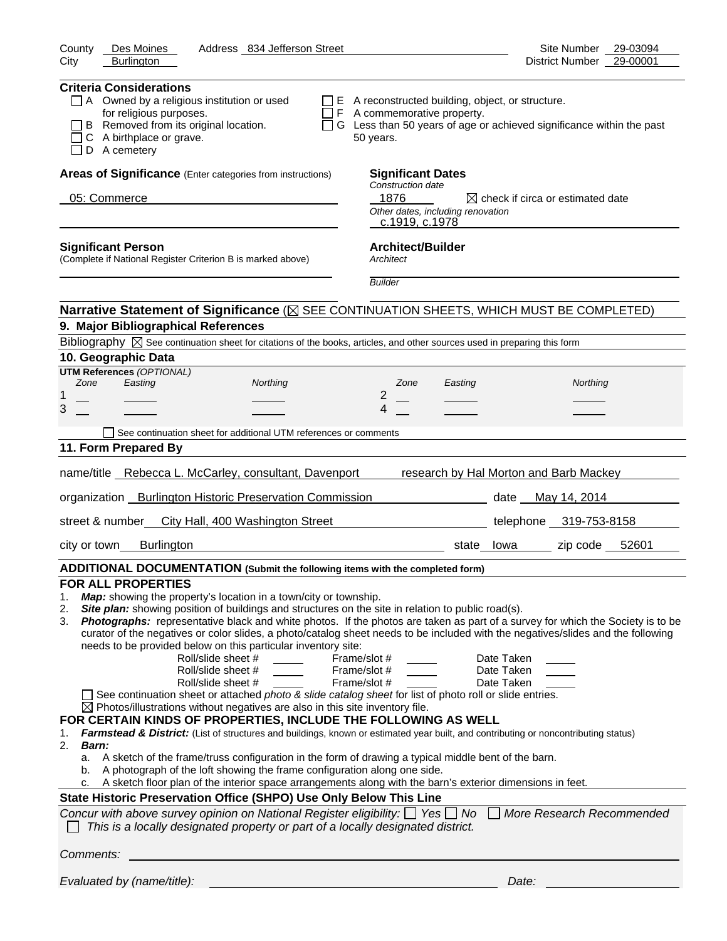| County<br>Des Moines<br>Address 834 Jefferson Street                                                                                                                                                                                                                                                                                                                                                                                                                                                                                                                                                                                                                                                                                                                                                                                                                                                                                                                                                                                                                                                                                                                                                                                                                                                                                                                                                                                                                                                                                                                                                                                                                                                                                | Site Number<br>29-03094                      |
|-------------------------------------------------------------------------------------------------------------------------------------------------------------------------------------------------------------------------------------------------------------------------------------------------------------------------------------------------------------------------------------------------------------------------------------------------------------------------------------------------------------------------------------------------------------------------------------------------------------------------------------------------------------------------------------------------------------------------------------------------------------------------------------------------------------------------------------------------------------------------------------------------------------------------------------------------------------------------------------------------------------------------------------------------------------------------------------------------------------------------------------------------------------------------------------------------------------------------------------------------------------------------------------------------------------------------------------------------------------------------------------------------------------------------------------------------------------------------------------------------------------------------------------------------------------------------------------------------------------------------------------------------------------------------------------------------------------------------------------|----------------------------------------------|
| <b>Burlington</b><br>City                                                                                                                                                                                                                                                                                                                                                                                                                                                                                                                                                                                                                                                                                                                                                                                                                                                                                                                                                                                                                                                                                                                                                                                                                                                                                                                                                                                                                                                                                                                                                                                                                                                                                                           | 29-00001<br>District Number                  |
| <b>Criteria Considerations</b><br>A Owned by a religious institution or used<br>E A reconstructed building, object, or structure.<br>for religious purposes.<br>$\Box$ F A commemorative property.<br>B Removed from its original location.<br>□ G Less than 50 years of age or achieved significance within the past<br>A birthplace or grave.<br>50 years.<br>D A cemetery                                                                                                                                                                                                                                                                                                                                                                                                                                                                                                                                                                                                                                                                                                                                                                                                                                                                                                                                                                                                                                                                                                                                                                                                                                                                                                                                                        |                                              |
| Areas of Significance (Enter categories from instructions)<br><b>Significant Dates</b>                                                                                                                                                                                                                                                                                                                                                                                                                                                                                                                                                                                                                                                                                                                                                                                                                                                                                                                                                                                                                                                                                                                                                                                                                                                                                                                                                                                                                                                                                                                                                                                                                                              |                                              |
| Construction date                                                                                                                                                                                                                                                                                                                                                                                                                                                                                                                                                                                                                                                                                                                                                                                                                                                                                                                                                                                                                                                                                                                                                                                                                                                                                                                                                                                                                                                                                                                                                                                                                                                                                                                   |                                              |
| 1876<br>05: Commerce<br>Other dates, including renovation<br>c.1919, c.1978                                                                                                                                                                                                                                                                                                                                                                                                                                                                                                                                                                                                                                                                                                                                                                                                                                                                                                                                                                                                                                                                                                                                                                                                                                                                                                                                                                                                                                                                                                                                                                                                                                                         | $\boxtimes$ check if circa or estimated date |
| <b>Architect/Builder</b><br><b>Significant Person</b><br>(Complete if National Register Criterion B is marked above)<br>Architect                                                                                                                                                                                                                                                                                                                                                                                                                                                                                                                                                                                                                                                                                                                                                                                                                                                                                                                                                                                                                                                                                                                                                                                                                                                                                                                                                                                                                                                                                                                                                                                                   |                                              |
| <b>Builder</b>                                                                                                                                                                                                                                                                                                                                                                                                                                                                                                                                                                                                                                                                                                                                                                                                                                                                                                                                                                                                                                                                                                                                                                                                                                                                                                                                                                                                                                                                                                                                                                                                                                                                                                                      |                                              |
| Narrative Statement of Significance ( $\boxtimes$ SEE CONTINUATION SHEETS, WHICH MUST BE COMPLETED)                                                                                                                                                                                                                                                                                                                                                                                                                                                                                                                                                                                                                                                                                                                                                                                                                                                                                                                                                                                                                                                                                                                                                                                                                                                                                                                                                                                                                                                                                                                                                                                                                                 |                                              |
| 9. Major Bibliographical References                                                                                                                                                                                                                                                                                                                                                                                                                                                                                                                                                                                                                                                                                                                                                                                                                                                                                                                                                                                                                                                                                                                                                                                                                                                                                                                                                                                                                                                                                                                                                                                                                                                                                                 |                                              |
| Bibliography $\boxtimes$ See continuation sheet for citations of the books, articles, and other sources used in preparing this form                                                                                                                                                                                                                                                                                                                                                                                                                                                                                                                                                                                                                                                                                                                                                                                                                                                                                                                                                                                                                                                                                                                                                                                                                                                                                                                                                                                                                                                                                                                                                                                                 |                                              |
| 10. Geographic Data                                                                                                                                                                                                                                                                                                                                                                                                                                                                                                                                                                                                                                                                                                                                                                                                                                                                                                                                                                                                                                                                                                                                                                                                                                                                                                                                                                                                                                                                                                                                                                                                                                                                                                                 |                                              |
| <b>UTM References (OPTIONAL)</b><br>Zone<br>Easting<br>Northing<br>Zone<br>Easting                                                                                                                                                                                                                                                                                                                                                                                                                                                                                                                                                                                                                                                                                                                                                                                                                                                                                                                                                                                                                                                                                                                                                                                                                                                                                                                                                                                                                                                                                                                                                                                                                                                  | Northing                                     |
| 2<br>1                                                                                                                                                                                                                                                                                                                                                                                                                                                                                                                                                                                                                                                                                                                                                                                                                                                                                                                                                                                                                                                                                                                                                                                                                                                                                                                                                                                                                                                                                                                                                                                                                                                                                                                              |                                              |
| 3<br>4                                                                                                                                                                                                                                                                                                                                                                                                                                                                                                                                                                                                                                                                                                                                                                                                                                                                                                                                                                                                                                                                                                                                                                                                                                                                                                                                                                                                                                                                                                                                                                                                                                                                                                                              |                                              |
| See continuation sheet for additional UTM references or comments                                                                                                                                                                                                                                                                                                                                                                                                                                                                                                                                                                                                                                                                                                                                                                                                                                                                                                                                                                                                                                                                                                                                                                                                                                                                                                                                                                                                                                                                                                                                                                                                                                                                    |                                              |
| 11. Form Prepared By                                                                                                                                                                                                                                                                                                                                                                                                                                                                                                                                                                                                                                                                                                                                                                                                                                                                                                                                                                                                                                                                                                                                                                                                                                                                                                                                                                                                                                                                                                                                                                                                                                                                                                                |                                              |
| name/title Rebecca L. McCarley, consultant, Davenport                                                                                                                                                                                                                                                                                                                                                                                                                                                                                                                                                                                                                                                                                                                                                                                                                                                                                                                                                                                                                                                                                                                                                                                                                                                                                                                                                                                                                                                                                                                                                                                                                                                                               | research by Hal Morton and Barb Mackey       |
| organization Burlington Historic Preservation Commission                                                                                                                                                                                                                                                                                                                                                                                                                                                                                                                                                                                                                                                                                                                                                                                                                                                                                                                                                                                                                                                                                                                                                                                                                                                                                                                                                                                                                                                                                                                                                                                                                                                                            | date May 14, 2014                            |
| street & number<br>City Hall, 400 Washington Street                                                                                                                                                                                                                                                                                                                                                                                                                                                                                                                                                                                                                                                                                                                                                                                                                                                                                                                                                                                                                                                                                                                                                                                                                                                                                                                                                                                                                                                                                                                                                                                                                                                                                 | telephone 319-753-8158                       |
| <b>Burlington</b><br>city or town<br>state lowa                                                                                                                                                                                                                                                                                                                                                                                                                                                                                                                                                                                                                                                                                                                                                                                                                                                                                                                                                                                                                                                                                                                                                                                                                                                                                                                                                                                                                                                                                                                                                                                                                                                                                     | 52601<br>zip code                            |
| ADDITIONAL DOCUMENTATION (Submit the following items with the completed form)                                                                                                                                                                                                                                                                                                                                                                                                                                                                                                                                                                                                                                                                                                                                                                                                                                                                                                                                                                                                                                                                                                                                                                                                                                                                                                                                                                                                                                                                                                                                                                                                                                                       |                                              |
| <b>FOR ALL PROPERTIES</b><br>Map: showing the property's location in a town/city or township.<br>1.<br>Site plan: showing position of buildings and structures on the site in relation to public road(s).<br>2.<br>Photographs: representative black and white photos. If the photos are taken as part of a survey for which the Society is to be<br>3.<br>curator of the negatives or color slides, a photo/catalog sheet needs to be included with the negatives/slides and the following<br>needs to be provided below on this particular inventory site:<br>Roll/slide sheet #<br>Frame/slot #<br>Date Taken<br>Roll/slide sheet #<br>Frame/slot #<br>Date Taken<br>Roll/slide sheet #<br>Frame/slot #<br>Date Taken<br>See continuation sheet or attached photo & slide catalog sheet for list of photo roll or slide entries.<br>$\boxtimes$ Photos/illustrations without negatives are also in this site inventory file.<br>FOR CERTAIN KINDS OF PROPERTIES, INCLUDE THE FOLLOWING AS WELL<br>Farmstead & District: (List of structures and buildings, known or estimated year built, and contributing or noncontributing status)<br>1.<br>2.<br>Barn:<br>A sketch of the frame/truss configuration in the form of drawing a typical middle bent of the barn.<br>а.<br>A photograph of the loft showing the frame configuration along one side.<br>b.<br>A sketch floor plan of the interior space arrangements along with the barn's exterior dimensions in feet.<br>c.<br>State Historic Preservation Office (SHPO) Use Only Below This Line<br>Concur with above survey opinion on National Register eligibility: $\Box$ Yes $\Box$ No<br>This is a locally designated property or part of a locally designated district. | More Research Recommended                    |
| Comments:                                                                                                                                                                                                                                                                                                                                                                                                                                                                                                                                                                                                                                                                                                                                                                                                                                                                                                                                                                                                                                                                                                                                                                                                                                                                                                                                                                                                                                                                                                                                                                                                                                                                                                                           |                                              |
| Evaluated by (name/title):                                                                                                                                                                                                                                                                                                                                                                                                                                                                                                                                                                                                                                                                                                                                                                                                                                                                                                                                                                                                                                                                                                                                                                                                                                                                                                                                                                                                                                                                                                                                                                                                                                                                                                          | Date:                                        |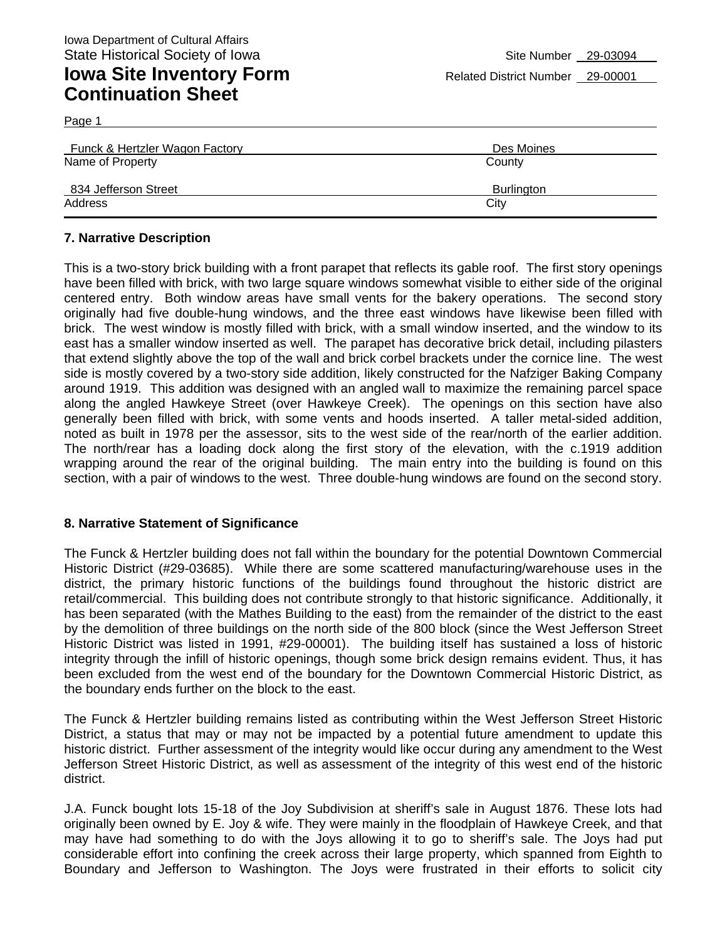| Funck & Hertzler Wagon Factory | Des Moines        |
|--------------------------------|-------------------|
| Name of Property               | County            |
| 834 Jefferson Street           | <b>Burlington</b> |
| Address                        | City              |

#### **7. Narrative Description**

Page 1

This is a two-story brick building with a front parapet that reflects its gable roof. The first story openings have been filled with brick, with two large square windows somewhat visible to either side of the original centered entry. Both window areas have small vents for the bakery operations. The second story originally had five double-hung windows, and the three east windows have likewise been filled with brick. The west window is mostly filled with brick, with a small window inserted, and the window to its east has a smaller window inserted as well. The parapet has decorative brick detail, including pilasters that extend slightly above the top of the wall and brick corbel brackets under the cornice line. The west side is mostly covered by a two-story side addition, likely constructed for the Nafziger Baking Company around 1919. This addition was designed with an angled wall to maximize the remaining parcel space along the angled Hawkeye Street (over Hawkeye Creek). The openings on this section have also generally been filled with brick, with some vents and hoods inserted. A taller metal-sided addition, noted as built in 1978 per the assessor, sits to the west side of the rear/north of the earlier addition. The north/rear has a loading dock along the first story of the elevation, with the c.1919 addition wrapping around the rear of the original building. The main entry into the building is found on this section, with a pair of windows to the west. Three double-hung windows are found on the second story.

#### **8. Narrative Statement of Significance**

The Funck & Hertzler building does not fall within the boundary for the potential Downtown Commercial Historic District (#29-03685). While there are some scattered manufacturing/warehouse uses in the district, the primary historic functions of the buildings found throughout the historic district are retail/commercial. This building does not contribute strongly to that historic significance. Additionally, it has been separated (with the Mathes Building to the east) from the remainder of the district to the east by the demolition of three buildings on the north side of the 800 block (since the West Jefferson Street Historic District was listed in 1991, #29-00001). The building itself has sustained a loss of historic integrity through the infill of historic openings, though some brick design remains evident. Thus, it has been excluded from the west end of the boundary for the Downtown Commercial Historic District, as the boundary ends further on the block to the east.

The Funck & Hertzler building remains listed as contributing within the West Jefferson Street Historic District, a status that may or may not be impacted by a potential future amendment to update this historic district. Further assessment of the integrity would like occur during any amendment to the West Jefferson Street Historic District, as well as assessment of the integrity of this west end of the historic district.

J.A. Funck bought lots 15-18 of the Joy Subdivision at sheriff's sale in August 1876. These lots had originally been owned by E. Joy & wife. They were mainly in the floodplain of Hawkeye Creek, and that may have had something to do with the Joys allowing it to go to sheriff's sale. The Joys had put considerable effort into confining the creek across their large property, which spanned from Eighth to Boundary and Jefferson to Washington. The Joys were frustrated in their efforts to solicit city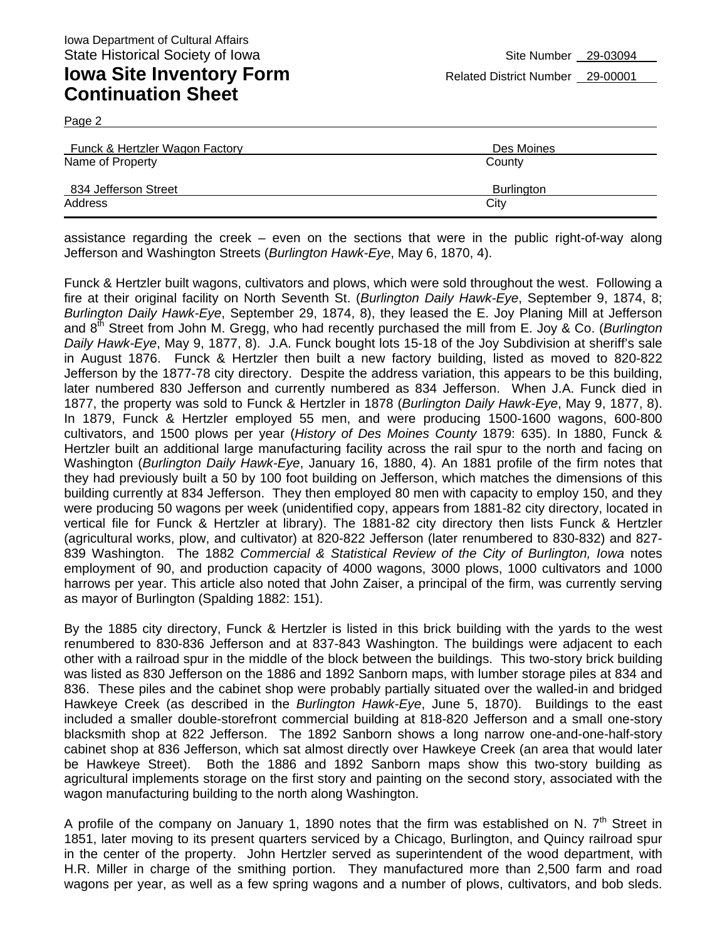**Continuation Sheet** 

Page 2

| Funck & Hertzler Wagon Factory | Des Moines        |
|--------------------------------|-------------------|
| Name of Property               | County            |
| 834 Jefferson Street           | <b>Burlington</b> |
| Address                        | City              |

assistance regarding the creek – even on the sections that were in the public right-of-way along Jefferson and Washington Streets (*Burlington Hawk-Eye*, May 6, 1870, 4).

Funck & Hertzler built wagons, cultivators and plows, which were sold throughout the west. Following a fire at their original facility on North Seventh St. (*Burlington Daily Hawk-Eye*, September 9, 1874, 8; *Burlington Daily Hawk-Eye*, September 29, 1874, 8), they leased the E. Joy Planing Mill at Jefferson and 8th Street from John M. Gregg, who had recently purchased the mill from E. Joy & Co. (*Burlington Daily Hawk-Eye*, May 9, 1877, 8). J.A. Funck bought lots 15-18 of the Joy Subdivision at sheriff's sale in August 1876. Funck & Hertzler then built a new factory building, listed as moved to 820-822 Jefferson by the 1877-78 city directory. Despite the address variation, this appears to be this building, later numbered 830 Jefferson and currently numbered as 834 Jefferson. When J.A. Funck died in 1877, the property was sold to Funck & Hertzler in 1878 (*Burlington Daily Hawk-Eye*, May 9, 1877, 8). In 1879, Funck & Hertzler employed 55 men, and were producing 1500-1600 wagons, 600-800 cultivators, and 1500 plows per year (*History of Des Moines County* 1879: 635). In 1880, Funck & Hertzler built an additional large manufacturing facility across the rail spur to the north and facing on Washington (*Burlington Daily Hawk-Eye*, January 16, 1880, 4). An 1881 profile of the firm notes that they had previously built a 50 by 100 foot building on Jefferson, which matches the dimensions of this building currently at 834 Jefferson. They then employed 80 men with capacity to employ 150, and they were producing 50 wagons per week (unidentified copy, appears from 1881-82 city directory, located in vertical file for Funck & Hertzler at library). The 1881-82 city directory then lists Funck & Hertzler (agricultural works, plow, and cultivator) at 820-822 Jefferson (later renumbered to 830-832) and 827- 839 Washington. The 1882 *Commercial & Statistical Review of the City of Burlington, Iowa* notes employment of 90, and production capacity of 4000 wagons, 3000 plows, 1000 cultivators and 1000 harrows per year. This article also noted that John Zaiser, a principal of the firm, was currently serving as mayor of Burlington (Spalding 1882: 151).

By the 1885 city directory, Funck & Hertzler is listed in this brick building with the yards to the west renumbered to 830-836 Jefferson and at 837-843 Washington. The buildings were adjacent to each other with a railroad spur in the middle of the block between the buildings. This two-story brick building was listed as 830 Jefferson on the 1886 and 1892 Sanborn maps, with lumber storage piles at 834 and 836. These piles and the cabinet shop were probably partially situated over the walled-in and bridged Hawkeye Creek (as described in the *Burlington Hawk-Eye*, June 5, 1870). Buildings to the east included a smaller double-storefront commercial building at 818-820 Jefferson and a small one-story blacksmith shop at 822 Jefferson. The 1892 Sanborn shows a long narrow one-and-one-half-story cabinet shop at 836 Jefferson, which sat almost directly over Hawkeye Creek (an area that would later be Hawkeye Street). Both the 1886 and 1892 Sanborn maps show this two-story building as agricultural implements storage on the first story and painting on the second story, associated with the wagon manufacturing building to the north along Washington.

A profile of the company on January 1, 1890 notes that the firm was established on N.  $7<sup>th</sup>$  Street in 1851, later moving to its present quarters serviced by a Chicago, Burlington, and Quincy railroad spur in the center of the property. John Hertzler served as superintendent of the wood department, with H.R. Miller in charge of the smithing portion. They manufactured more than 2,500 farm and road wagons per year, as well as a few spring wagons and a number of plows, cultivators, and bob sleds.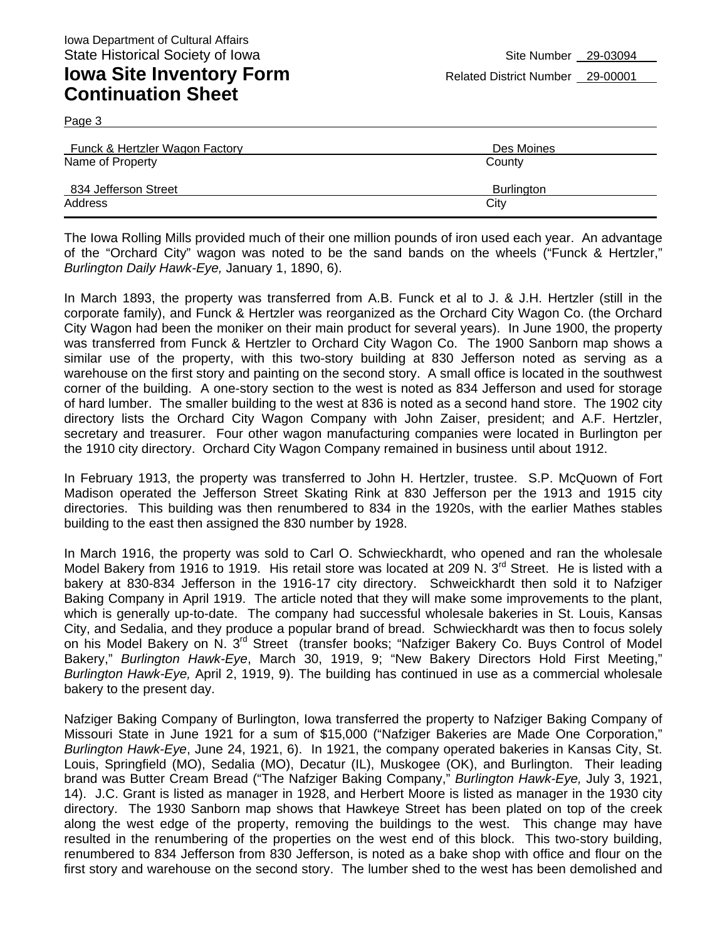**Continuation Sheet** 

Page 3

| <b>Funck &amp; Hertzler Wagon Factory</b> | Des Moines        |
|-------------------------------------------|-------------------|
| Name of Property                          | County            |
| 834 Jefferson Street                      | <b>Burlington</b> |
| Address                                   | City              |

The Iowa Rolling Mills provided much of their one million pounds of iron used each year. An advantage of the "Orchard City" wagon was noted to be the sand bands on the wheels ("Funck & Hertzler," *Burlington Daily Hawk-Eye,* January 1, 1890, 6).

In March 1893, the property was transferred from A.B. Funck et al to J. & J.H. Hertzler (still in the corporate family), and Funck & Hertzler was reorganized as the Orchard City Wagon Co. (the Orchard City Wagon had been the moniker on their main product for several years). In June 1900, the property was transferred from Funck & Hertzler to Orchard City Wagon Co. The 1900 Sanborn map shows a similar use of the property, with this two-story building at 830 Jefferson noted as serving as a warehouse on the first story and painting on the second story. A small office is located in the southwest corner of the building. A one-story section to the west is noted as 834 Jefferson and used for storage of hard lumber. The smaller building to the west at 836 is noted as a second hand store. The 1902 city directory lists the Orchard City Wagon Company with John Zaiser, president; and A.F. Hertzler, secretary and treasurer. Four other wagon manufacturing companies were located in Burlington per the 1910 city directory. Orchard City Wagon Company remained in business until about 1912.

In February 1913, the property was transferred to John H. Hertzler, trustee. S.P. McQuown of Fort Madison operated the Jefferson Street Skating Rink at 830 Jefferson per the 1913 and 1915 city directories. This building was then renumbered to 834 in the 1920s, with the earlier Mathes stables building to the east then assigned the 830 number by 1928.

In March 1916, the property was sold to Carl O. Schwieckhardt, who opened and ran the wholesale Model Bakery from 1916 to 1919. His retail store was located at 209 N. 3<sup>rd</sup> Street. He is listed with a bakery at 830-834 Jefferson in the 1916-17 city directory. Schweickhardt then sold it to Nafziger Baking Company in April 1919. The article noted that they will make some improvements to the plant, which is generally up-to-date. The company had successful wholesale bakeries in St. Louis, Kansas City, and Sedalia, and they produce a popular brand of bread. Schwieckhardt was then to focus solely on his Model Bakery on N. 3<sup>rd</sup> Street (transfer books; "Nafziger Bakery Co. Buys Control of Model Bakery," *Burlington Hawk-Eye*, March 30, 1919, 9; "New Bakery Directors Hold First Meeting," *Burlington Hawk-Eye,* April 2, 1919, 9). The building has continued in use as a commercial wholesale bakery to the present day.

Nafziger Baking Company of Burlington, Iowa transferred the property to Nafziger Baking Company of Missouri State in June 1921 for a sum of \$15,000 ("Nafziger Bakeries are Made One Corporation," *Burlington Hawk-Eye*, June 24, 1921, 6). In 1921, the company operated bakeries in Kansas City, St. Louis, Springfield (MO), Sedalia (MO), Decatur (IL), Muskogee (OK), and Burlington. Their leading brand was Butter Cream Bread ("The Nafziger Baking Company," *Burlington Hawk-Eye,* July 3, 1921, 14). J.C. Grant is listed as manager in 1928, and Herbert Moore is listed as manager in the 1930 city directory. The 1930 Sanborn map shows that Hawkeye Street has been plated on top of the creek along the west edge of the property, removing the buildings to the west. This change may have resulted in the renumbering of the properties on the west end of this block. This two-story building, renumbered to 834 Jefferson from 830 Jefferson, is noted as a bake shop with office and flour on the first story and warehouse on the second story. The lumber shed to the west has been demolished and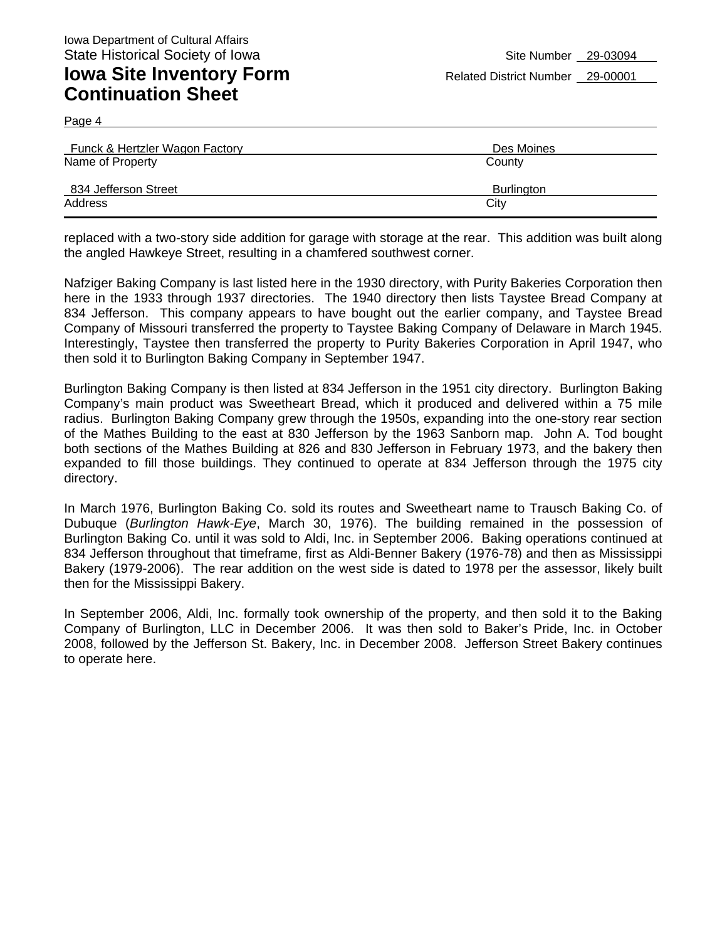**Continuation Sheet** 

Page 4

| Funck & Hertzler Wagon Factory | Des Moines |
|--------------------------------|------------|
| Name of Property               | County     |
| 834 Jefferson Street           | Burlington |
| Address                        | City       |

replaced with a two-story side addition for garage with storage at the rear. This addition was built along the angled Hawkeye Street, resulting in a chamfered southwest corner.

Nafziger Baking Company is last listed here in the 1930 directory, with Purity Bakeries Corporation then here in the 1933 through 1937 directories. The 1940 directory then lists Taystee Bread Company at 834 Jefferson. This company appears to have bought out the earlier company, and Taystee Bread Company of Missouri transferred the property to Taystee Baking Company of Delaware in March 1945. Interestingly, Taystee then transferred the property to Purity Bakeries Corporation in April 1947, who then sold it to Burlington Baking Company in September 1947.

Burlington Baking Company is then listed at 834 Jefferson in the 1951 city directory. Burlington Baking Company's main product was Sweetheart Bread, which it produced and delivered within a 75 mile radius. Burlington Baking Company grew through the 1950s, expanding into the one-story rear section of the Mathes Building to the east at 830 Jefferson by the 1963 Sanborn map. John A. Tod bought both sections of the Mathes Building at 826 and 830 Jefferson in February 1973, and the bakery then expanded to fill those buildings. They continued to operate at 834 Jefferson through the 1975 city directory.

In March 1976, Burlington Baking Co. sold its routes and Sweetheart name to Trausch Baking Co. of Dubuque (*Burlington Hawk-Eye*, March 30, 1976). The building remained in the possession of Burlington Baking Co. until it was sold to Aldi, Inc. in September 2006. Baking operations continued at 834 Jefferson throughout that timeframe, first as Aldi-Benner Bakery (1976-78) and then as Mississippi Bakery (1979-2006). The rear addition on the west side is dated to 1978 per the assessor, likely built then for the Mississippi Bakery.

In September 2006, Aldi, Inc. formally took ownership of the property, and then sold it to the Baking Company of Burlington, LLC in December 2006. It was then sold to Baker's Pride, Inc. in October 2008, followed by the Jefferson St. Bakery, Inc. in December 2008. Jefferson Street Bakery continues to operate here.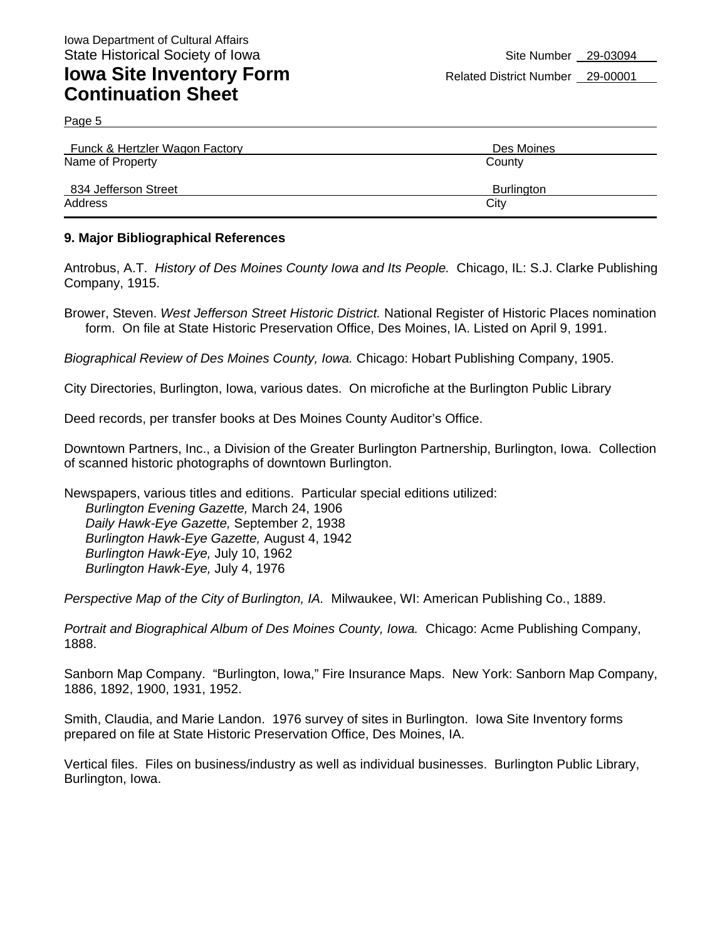Page 5

| Funck & Hertzler Wagon Factory | Des Moines        |
|--------------------------------|-------------------|
| Name of Property               | County            |
| 834 Jefferson Street           | <b>Burlington</b> |
| Address                        | City              |

#### **9. Major Bibliographical References**

Antrobus, A.T. *History of Des Moines County Iowa and Its People.* Chicago, IL: S.J. Clarke Publishing Company, 1915.

Brower, Steven. *West Jefferson Street Historic District.* National Register of Historic Places nomination form. On file at State Historic Preservation Office, Des Moines, IA. Listed on April 9, 1991.

*Biographical Review of Des Moines County, Iowa.* Chicago: Hobart Publishing Company, 1905.

City Directories, Burlington, Iowa, various dates. On microfiche at the Burlington Public Library

Deed records, per transfer books at Des Moines County Auditor's Office.

Downtown Partners, Inc., a Division of the Greater Burlington Partnership, Burlington, Iowa. Collection of scanned historic photographs of downtown Burlington.

Newspapers, various titles and editions. Particular special editions utilized: *Burlington Evening Gazette,* March 24, 1906 *Daily Hawk-Eye Gazette,* September 2, 1938 *Burlington Hawk-Eye Gazette,* August 4, 1942 *Burlington Hawk-Eye,* July 10, 1962 *Burlington Hawk-Eye,* July 4, 1976

*Perspective Map of the City of Burlington, IA.* Milwaukee, WI: American Publishing Co., 1889.

*Portrait and Biographical Album of Des Moines County, Iowa.* Chicago: Acme Publishing Company, 1888.

Sanborn Map Company. "Burlington, Iowa," Fire Insurance Maps. New York: Sanborn Map Company, 1886, 1892, 1900, 1931, 1952.

Smith, Claudia, and Marie Landon. 1976 survey of sites in Burlington. Iowa Site Inventory forms prepared on file at State Historic Preservation Office, Des Moines, IA.

Vertical files. Files on business/industry as well as individual businesses. Burlington Public Library, Burlington, Iowa.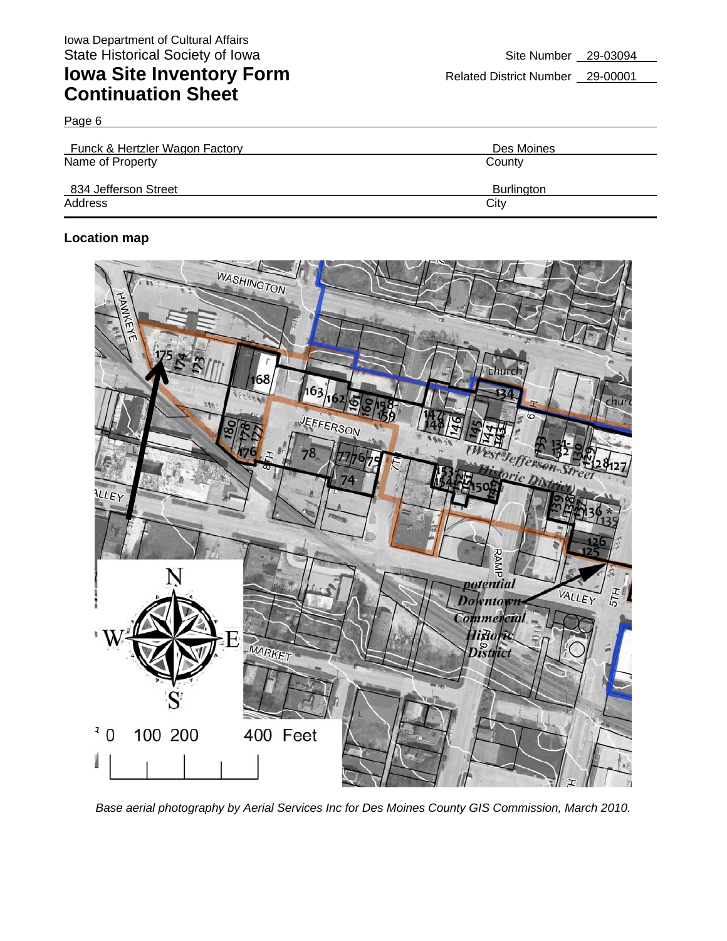Page 6

| Funck & Hertzler Wagon Factory | Des Moines        |
|--------------------------------|-------------------|
| Name of Property               | County            |
| 834 Jefferson Street           | <b>Burlington</b> |
| Address                        | City              |

### **Location map**



*Base aerial photography by Aerial Services Inc for Des Moines County GIS Commission, March 2010.*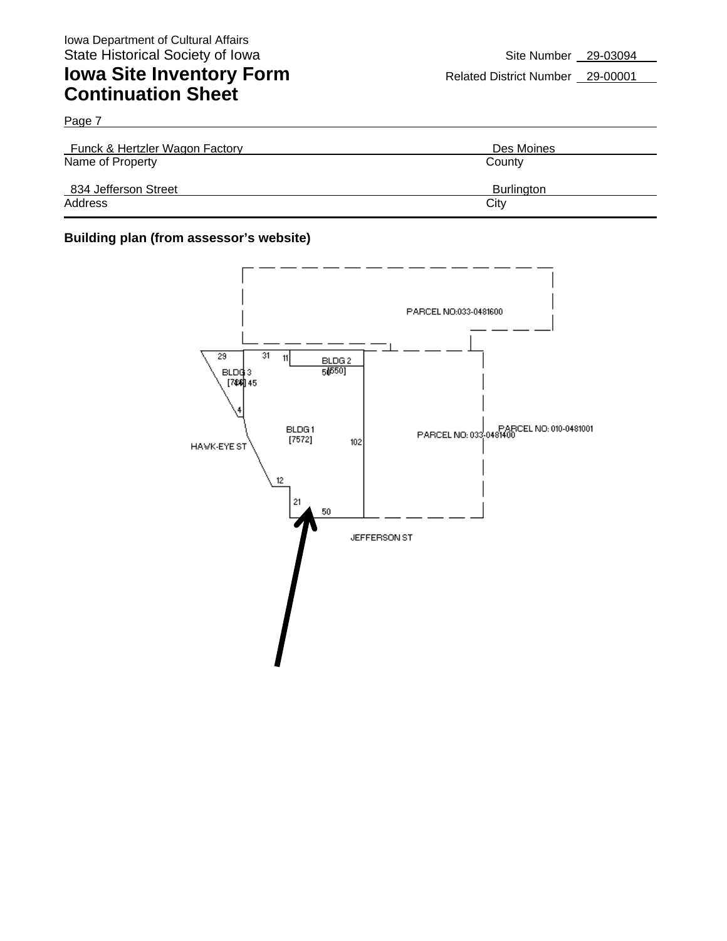Page 7

| Funck & Hertzler Wagon Factory | Des Moines        |
|--------------------------------|-------------------|
| Name of Property               | County            |
| 834 Jefferson Street           | <b>Burlington</b> |
| Address                        | City              |

#### **Building plan (from assessor's website)**

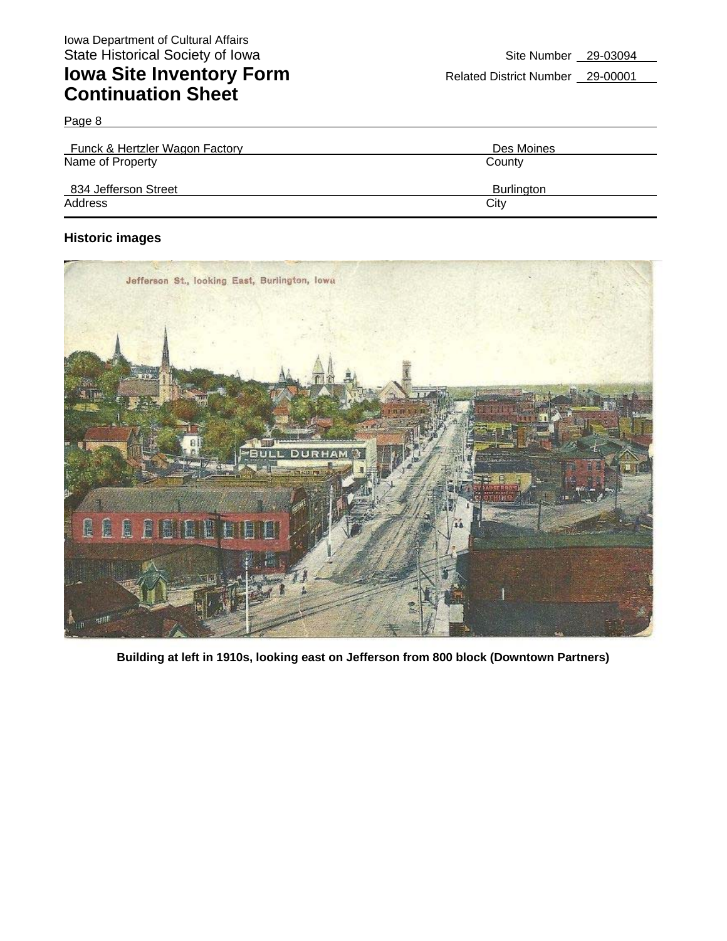Page 8

| Funck & Hertzler Wagon Factory | Des Moines        |
|--------------------------------|-------------------|
| Name of Property               | County            |
| 834 Jefferson Street           | <b>Burlington</b> |
| Address                        | City              |

#### **Historic images**



**Building at left in 1910s, looking east on Jefferson from 800 block (Downtown Partners)**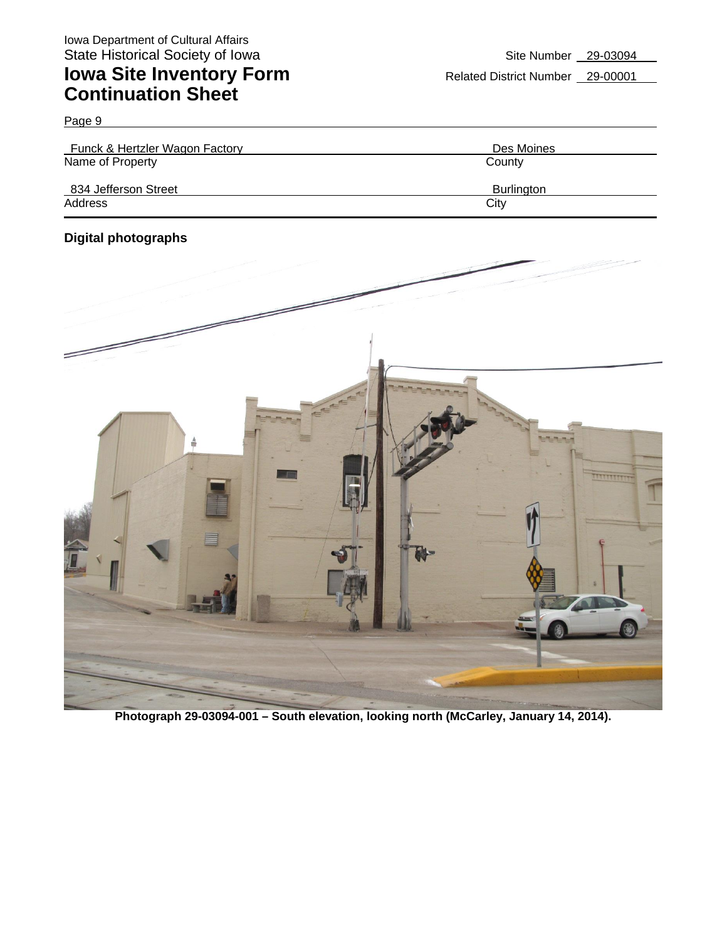| Funck & Hertzler Wagon Factory | Des Moines        |
|--------------------------------|-------------------|
| Name of Property               | County            |
| 834 Jefferson Street           | <b>Burlington</b> |
| Address                        | City              |

### **Digital photographs**

Page 9



**Photograph 29-03094-001 – South elevation, looking north (McCarley, January 14, 2014).**